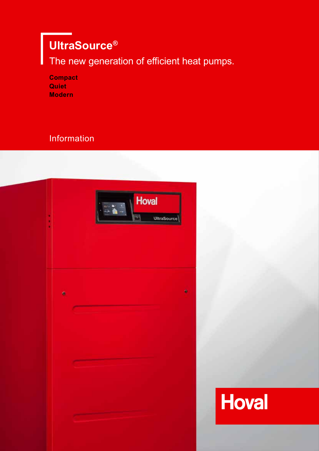# **UltraSource®**

The new generation of efficient heat pumps.

| <b>Compact</b> |
|----------------|
| Quiet          |
| <b>Modern</b>  |

## **Information**



**Hoval**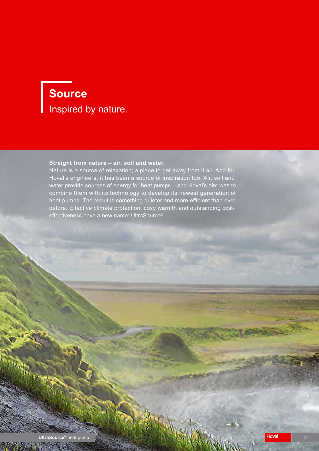# **Source** Inspired by nature.

#### **Straight from nature – air, soil and water.**

Nature is a source of relaxation; a place to get away from it all. And for Hoval's engineers, it has been a source of inspiration too. Air, soil and water provide sources of energy for heat pumps – and Hoval's aim was to combine them with its technology to develop its newest generation of heat pumps. The result is something quieter and more efficient than ever before. Effective climate protection, cosy warmth and outstanding costeffectiveness have a new name: UltraSource®.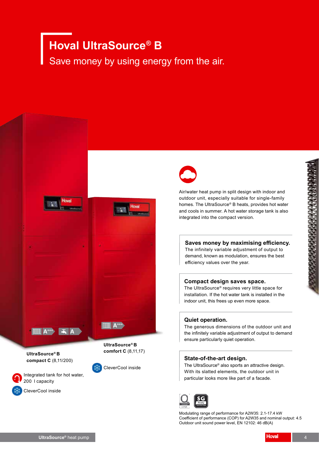# **Hoval UltraSource® B**

Save money by using energy from the air.



**UltraSource® B compact C** (8,11/200)





Integrated tank for hot water, 200 l capacity

CleverCool inside



Air/water heat pump in split design with indoor and outdoor unit, especially suitable for single-family homes. The UltraSource® B heats, provides hot water and cools in summer. A hot water storage tank is also integrated into the compact version.

#### **Saves money by maximising efficiency.**

The infinitely variable adjustment of output to demand, known as modulation, ensures the best efficiency values over the year.

#### **Compact design saves space.**

The UltraSource® requires very little space for installation. If the hot water tank is installed in the indoor unit, this frees up even more space.

#### **Quiet operation.**

The generous dimensions of the outdoor unit and the infinitely variable adjustment of output to demand ensure particularly quiet operation.

#### **State-of-the-art design.**

The UltraSource® also sports an attractive design. With its slatted elements, the outdoor unit in particular looks more like part of a facade.



Modulating range of performance for A2W35: 2.1-17.4 kW Coefficient of performance (COP) for A2W35 and nominal output: 4.5 Outdoor unit sound power level, EN 12102: 46 dB(A)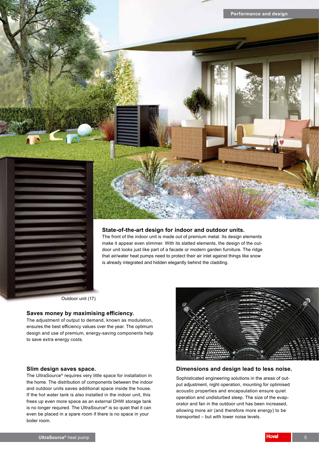

#### **State-of-the-art design for indoor and outdoor units.**

The front of the indoor unit is made out of premium metal. Its design elements make it appear even slimmer. With its slatted elements, the design of the outdoor unit looks just like part of a facade or modern garden furniture. The ridge that air/water heat pumps need to protect their air inlet against things like snow is already integrated and hidden elegantly behind the cladding.

Outdoor unit (17)

#### **Saves money by maximising efficiency.**

The adjustment of output to demand, known as modulation, ensures the best efficiency values over the year. The optimum design and use of premium, energy-saving components help to save extra energy costs.

#### **Slim design saves space.**

The UltraSource® requires very little space for installation in the home. The distribution of components between the indoor and outdoor units saves additional space inside the house. If the hot water tank is also installed in the indoor unit, this frees up even more space as an external DHW storage tank is no longer required. The UltraSource® is so quiet that it can even be placed in a spare room if there is no space in your boiler room.



#### **Dimensions and design lead to less noise.**

Sophisticated engineering solutions in the areas of output adjustment, night operation, mounting for optimised acoustic properties and encapsulation ensure quiet operation and undisturbed sleep. The size of the evaporator and fan in the outdoor unit has been increased, allowing more air (and therefore more energy) to be transported – but with lower noise levels.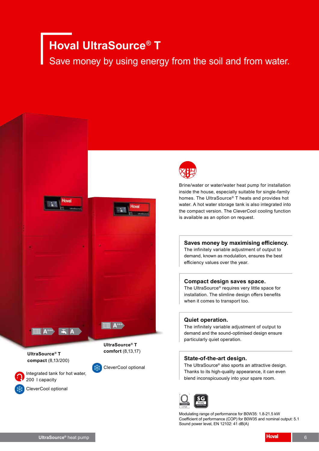# **Hoval UltraSource® T**

Save money by using energy from the soil and from water.





Brine/water or water/water heat pump for installation inside the house, especially suitable for single-family homes. The UltraSource® T heats and provides hot water. A hot water storage tank is also integrated into the compact version. The CleverCool cooling function is available as an option on request.

#### **Saves money by maximising efficiency.**

The infinitely variable adjustment of output to demand, known as modulation, ensures the best efficiency values over the year.

#### **Compact design saves space.**

The UltraSource® requires very little space for installation. The slimline design offers benefits when it comes to transport too.

#### **Quiet operation.**

The infinitely variable adjustment of output to demand and the sound-optimised design ensure particularly quiet operation.

#### **State-of-the-art design.**

The UltraSource® also sports an attractive design. Thanks to its high-quality appearance, it can even blend inconspicuously into your spare room.



Modulating range of performance for B0W35: 1.8-21.5 kW Coefficient of performance (COP) for B0W35 and nominal output: 5.1 Sound power level, EN 12102: 41 dB(A)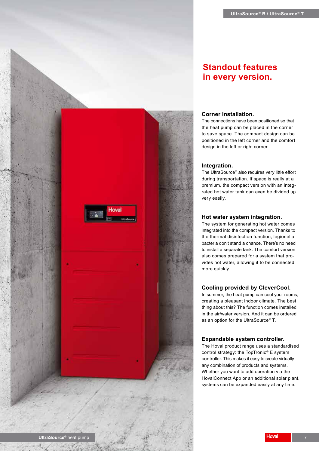

#### **Corner installation.**

The connections have been positioned so that the heat pump can be placed in the corner to save space. The compact design can be positioned in the left corner and the comfort design in the left or right corner.

#### **Integration.**

The UltraSource® also requires very little effort during transportation. If space is really at a premium, the compact version with an integrated hot water tank can even be divided up very easily.

#### **Hot water system integration.**

The system for generating hot water comes integrated into the compact version. Thanks to the thermal disinfection function, legionella bacteria don't stand a chance. There's no need to install a separate tank. The comfort version also comes prepared for a system that provides hot water, allowing it to be connected more quickly.

#### **Cooling provided by CleverCool.**

In summer, the heat pump can cool your rooms, creating a pleasant indoor climate. The best thing about this? The function comes installed in the air/water version. And it can be ordered as an option for the UltraSource® T.

#### **Expandable system controller.**

The Hoval product range uses a standardised control strategy: the TopTronic® E system controller. This makes it easy to create virtually any combination of products and systems. Whether you want to add operation via the HovalConnect App or an additional solar plant, systems can be expanded easily at any time.

Hoval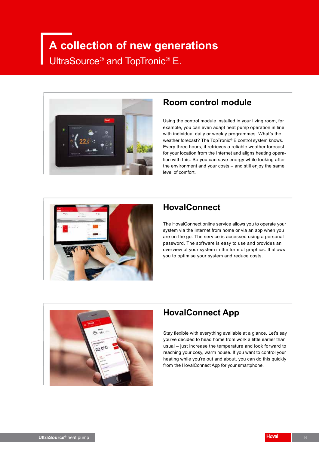# **A collection of new generations** UltraSource® and TopTronic® E.



### **Room control module**

Using the control module installed in your living room, for example, you can even adapt heat pump operation in line with individual daily or weekly programmes. What's the weather forecast? The TopTronic® E control system knows. Every three hours, it retrieves a reliable weather forecast for your location from the Internet and aligns heating operation with this. So you can save energy while looking after the environment and your costs – and still enjoy the same level of comfort.



### **HovalConnect**

The HovalConnect online service allows you to operate your system via the Internet from home or via an app when you are on the go. The service is accessed using a personal password. The software is easy to use and provides an overview of your system in the form of graphics. It allows you to optimise your system and reduce costs.



## **HovalConnect App**

Stay flexible with everything available at a glance. Let's say you've decided to head home from work a little earlier than usual – just increase the temperature and look forward to reaching your cosy, warm house. If you want to control your heating while you're out and about, you can do this quickly from the HovalConnect App for your smartphone.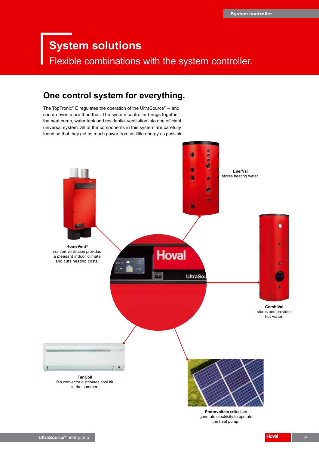## **System solutions**

Flexible combinations with the system controller.

### **One control system for everything.**

The TopTronic® E regulates the operation of the UltraSource® – and can do even more than that. The system controller brings together the heat pump, water tank and residential ventilation into one efficient universal system. All of the components in this system are carefully tuned so that they get as much power from as little energy as possible.



**Photovoltaic** collectors generate electricity to operate the heat pump.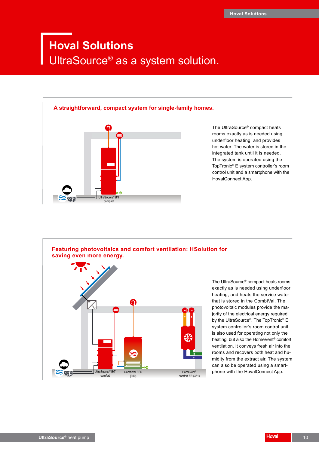# **Hoval Solutions** UltraSource® as a system solution.



**UltraSource®**

The UltraSource® compact heats rooms exactly as is needed using underfloor heating, and provides hot water. The water is stored in the integrated tank until it is needed. The system is operated using the TopTronic® E system controller's room control unit and a smartphone with the HovalConnect App.



The UltraSource® compact heats rooms exactly as is needed using underfloor heating, and heats the service water that is stored in the CombiVal. The photovoltaic modules provide the majority of the electrical energy required by the UltraSource®. The TopTronic® E system controller's room control unit is also used for operating not only the heating, but also the HomeVent® comfort ventilation. It conveys fresh air into the rooms and recovers both heat and humidity from the extract air. The system can also be operated using a smartphone with the HovalConnect App.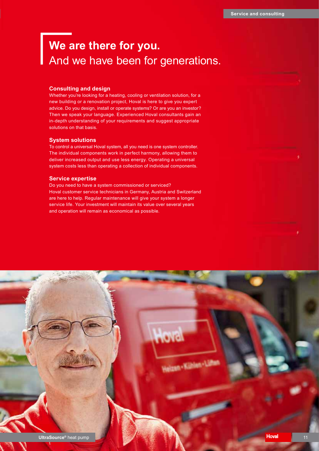# **We are there for you.** And we have been for generations.

#### **Consulting and design**

Whether you're looking for a heating, cooling or ventilation solution, for a new building or a renovation project, Hoval is here to give you expert advice. Do you design, install or operate systems? Or are you an investor? Then we speak your language. Experienced Hoval consultants gain an in-depth understanding of your requirements and suggest appropriate solutions on that basis.

#### **System solutions**

To control a universal Hoval system, all you need is one system controller. The individual components work in perfect harmony, allowing them to deliver increased output and use less energy. Operating a universal system costs less than operating a collection of individual components.

#### **Service expertise**

Do you need to have a system commissioned or serviced? Hoval customer service technicians in Germany, Austria and Switzerland are here to help. Regular maintenance will give your system a longer service life. Your investment will maintain its value over several years and operation will remain as economical as possible.